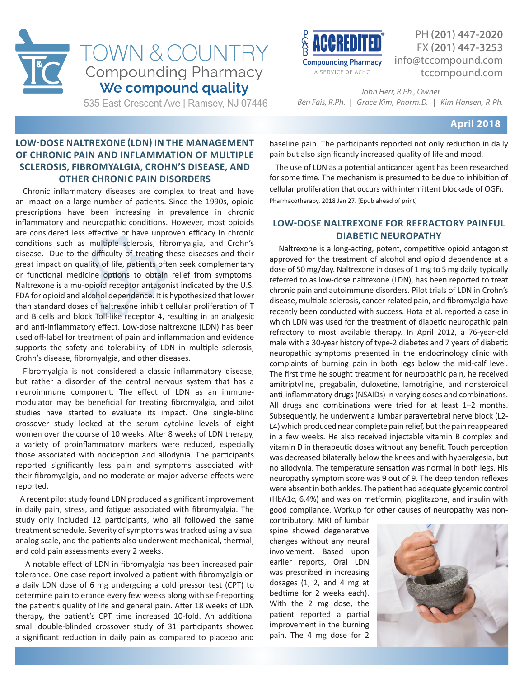



PH **(201) 447-2020** FX **(201) 447-3253** info@tccompound.com tccompound.com

535 East Crescent Ave | Ramsey, NJ 07446

*John Herr, R.Ph., Owner Ben Fais, R.Ph. │ Grace Kim, Pharm.D. │ Kim Hansen, R.Ph.*

#### **April 2018**

## **LOW-DOSE NALTREXONE (LDN) IN THE MANAGEMENT OF CHRONIC PAIN AND INFLAMMATION OF MULTIPLE SCLEROSIS, FIBROMYALGIA, CROHN'S DISEASE, AND OTHER CHRONIC PAIN DISORDERS**

 Chronic inflammatory diseases are complex to treat and have an impact on a large number of patients. Since the 1990s, opioid prescriptions have been increasing in prevalence in chronic inflammatory and neuropathic conditions. However, most opioids are considered less effective or have unproven efficacy in chronic conditions such as multiple sclerosis, fibromyalgia, and Crohn's disease. Due to the difficulty of treating these diseases and their great impact on quality of life, patients often seek complementary or functional medicine options to obtain relief from symptoms. Naltrexone is a mu-opioid receptor antagonist indicated by the U.S. FDA for opioid and alcohol dependence. It is hypothesized that lower than standard doses of naltrexone inhibit cellular proliferation of T and B cells and block Toll-like receptor 4, resulting in an analgesic and anti-inflammatory effect. Low-dose naltrexone (LDN) has been used off-label for treatment of pain and inflammation and evidence supports the safety and tolerability of LDN in multiple sclerosis, Crohn's disease, fibromyalgia, and other diseases.

 Fibromyalgia is not considered a classic inflammatory disease, but rather a disorder of the central nervous system that has a neuroimmune component. The effect of LDN as an immunemodulator may be beneficial for treating fibromyalgia, and pilot studies have started to evaluate its impact. One single-blind crossover study looked at the serum cytokine levels of eight women over the course of 10 weeks. After 8 weeks of LDN therapy, a variety of proinflammatory markers were reduced, especially those associated with nociception and allodynia. The participants reported significantly less pain and symptoms associated with their fibromyalgia, and no moderate or major adverse effects were reported.

 A recent pilot study found LDN produced a significant improvement in daily pain, stress, and fatigue associated with fibromyalgia. The study only included 12 participants, who all followed the same treatment schedule. Severity of symptoms was tracked using a visual analog scale, and the patients also underwent mechanical, thermal, and cold pain assessments every 2 weeks.

 A notable effect of LDN in fibromyalgia has been increased pain tolerance. One case report involved a patient with fibromyalgia on a daily LDN dose of 6 mg undergoing a cold pressor test (CPT) to determine pain tolerance every few weeks along with self-reporting the patient's quality of life and general pain. After 18 weeks of LDN therapy, the patient's CPT time increased 10-fold. An additional small double-blinded crossover study of 31 participants showed a significant reduction in daily pain as compared to placebo and

baseline pain. The participants reported not only reduction in daily pain but also significantly increased quality of life and mood.

 The use of LDN as a potential anticancer agent has been researched for some time. The mechanism is presumed to be due to inhibition of cellular proliferation that occurs with intermittent blockade of OGFr. Pharmacotherapy. 2018 Jan 27. [Epub ahead of print]

### **LOW-DOSE NALTREXONE FOR REFRACTORY PAINFUL DIABETIC NEUROPATHY**

 Naltrexone is a long-acting, potent, competitive opioid antagonist approved for the treatment of alcohol and opioid dependence at a dose of 50 mg/day. Naltrexone in doses of 1 mg to 5 mg daily, typically referred to as low-dose naltrexone (LDN), has been reported to treat chronic pain and autoimmune disorders. Pilot trials of LDN in Crohn's disease, multiple sclerosis, cancer-related pain, and fibromyalgia have recently been conducted with success. Hota et al. reported a case in which LDN was used for the treatment of diabetic neuropathic pain refractory to most available therapy. In April 2012, a 76-year-old male with a 30-year history of type-2 diabetes and 7 years of diabetic neuropathic symptoms presented in the endocrinology clinic with complaints of burning pain in both legs below the mid-calf level. The first time he sought treatment for neuropathic pain, he received amitriptyline, pregabalin, duloxetine, lamotrigine, and nonsteroidal anti-inflammatory drugs (NSAIDs) in varying doses and combinations. All drugs and combinations were tried for at least 1–2 months. Subsequently, he underwent a lumbar paravertebral nerve block (L2- L4) which produced near complete pain relief, but the pain reappeared in a few weeks. He also received injectable vitamin B complex and vitamin D in therapeutic doses without any benefit. Touch perception was decreased bilaterally below the knees and with hyperalgesia, but no allodynia. The temperature sensation was normal in both legs. His neuropathy symptom score was 9 out of 9. The deep tendon reflexes were absent in both ankles. The patient had adequate glycemic control (HbA1c, 6.4%) and was on metformin, pioglitazone, and insulin with good compliance. Workup for other causes of neuropathy was non-

contributory. MRI of lumbar spine showed degenerative changes without any neural involvement. Based upon earlier reports, Oral LDN was prescribed in increasing dosages (1, 2, and 4 mg at bedtime for 2 weeks each). With the 2 mg dose, the patient reported a partial improvement in the burning pain. The 4 mg dose for 2